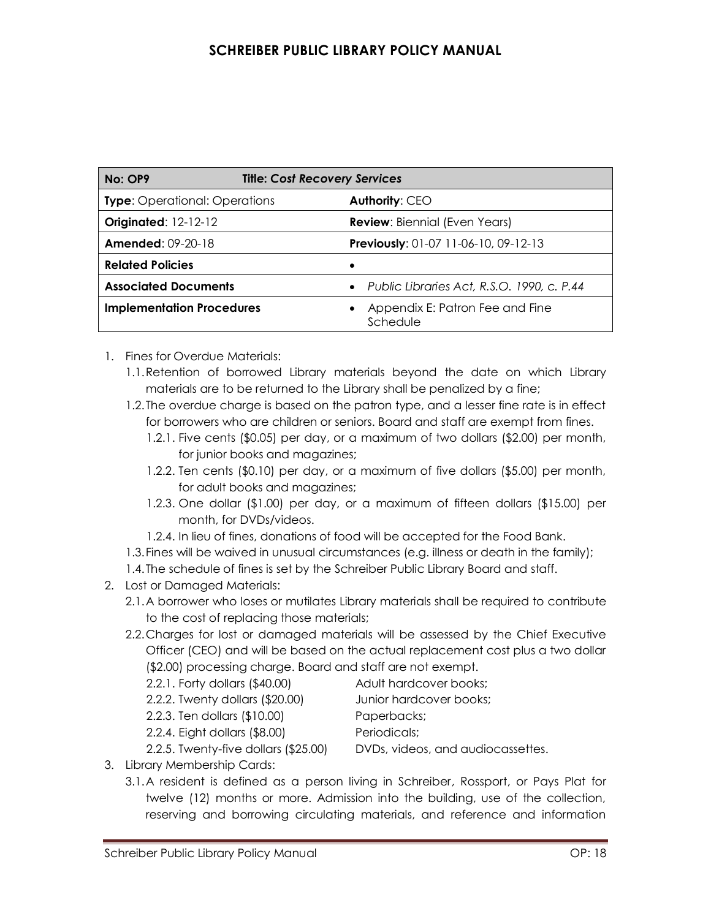## **SCHREIBER PUBLIC LIBRARY POLICY MANUAL**

| <b>Title: Cost Recovery Services</b><br>No: OP9 |                                              |
|-------------------------------------------------|----------------------------------------------|
| <b>Type:</b> Operational: Operations            | Authority: CEO                               |
| <b>Originated: 12-12-12</b>                     | <b>Review: Biennial (Even Years)</b>         |
| <b>Amended: 09-20-18</b>                        | Previously: 01-07 11-06-10, 09-12-13         |
| <b>Related Policies</b>                         | ٠                                            |
| <b>Associated Documents</b>                     | • Public Libraries Act, R.S.O. 1990, c. P.44 |
| <b>Implementation Procedures</b>                | Appendix E: Patron Fee and Fine<br>Schedule  |

- 1. Fines for Overdue Materials:
	- 1.1.Retention of borrowed Library materials beyond the date on which Library materials are to be returned to the Library shall be penalized by a fine;
	- 1.2.The overdue charge is based on the patron type, and a lesser fine rate is in effect for borrowers who are children or seniors. Board and staff are exempt from fines.
		- 1.2.1. Five cents (\$0.05) per day, or a maximum of two dollars (\$2.00) per month, for junior books and magazines;
		- 1.2.2. Ten cents (\$0.10) per day, or a maximum of five dollars (\$5.00) per month, for adult books and magazines;
		- 1.2.3. One dollar (\$1.00) per day, or a maximum of fifteen dollars (\$15.00) per month, for DVDs/videos.
		- 1.2.4. In lieu of fines, donations of food will be accepted for the Food Bank.
	- 1.3.Fines will be waived in unusual circumstances (e.g. illness or death in the family);
	- 1.4.The schedule of fines is set by the Schreiber Public Library Board and staff.
- 2. Lost or Damaged Materials:
	- 2.1.A borrower who loses or mutilates Library materials shall be required to contribute to the cost of replacing those materials;
	- 2.2.Charges for lost or damaged materials will be assessed by the Chief Executive Officer (CEO) and will be based on the actual replacement cost plus a two dollar (\$2.00) processing charge. Board and staff are not exempt.
		- 2.2.1. Forty dollars (\$40.00) Adult hardcover books;
		- 2.2.2. Twenty dollars (\$20.00) Junior hardcover books;
		- 2.2.3. Ten dollars (\$10.00) Paperbacks;

2.2.4. Eight dollars (\$8.00) Periodicals;

2.2.5. Twenty-five dollars (\$25.00) DVDs, videos, and audiocassettes. 3. Library Membership Cards:

3.1.A resident is defined as a person living in Schreiber, Rossport, or Pays Plat for twelve (12) months or more. Admission into the building, use of the collection, reserving and borrowing circulating materials, and reference and information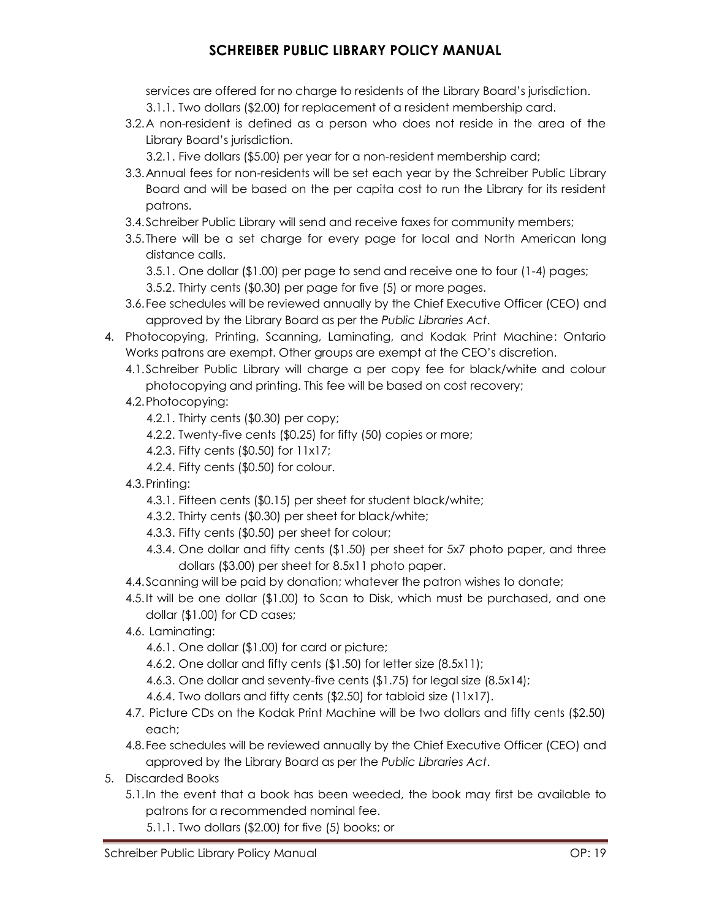## **SCHREIBER PUBLIC LIBRARY POLICY MANUAL**

services are offered for no charge to residents of the Library Board's jurisdiction. 3.1.1. Two dollars (\$2.00) for replacement of a resident membership card.

- 3.2.A non-resident is defined as a person who does not reside in the area of the Library Board's jurisdiction.
	- 3.2.1. Five dollars (\$5.00) per year for a non-resident membership card;
- 3.3.Annual fees for non-residents will be set each year by the Schreiber Public Library Board and will be based on the per capita cost to run the Library for its resident patrons.
- 3.4.Schreiber Public Library will send and receive faxes for community members;
- 3.5.There will be a set charge for every page for local and North American long distance calls.

3.5.1. One dollar (\$1.00) per page to send and receive one to four (1-4) pages;

- 3.5.2. Thirty cents (\$0.30) per page for five (5) or more pages.
- 3.6.Fee schedules will be reviewed annually by the Chief Executive Officer (CEO) and approved by the Library Board as per the *Public Libraries Act*.
- 4. Photocopying, Printing, Scanning, Laminating, and Kodak Print Machine: Ontario Works patrons are exempt. Other groups are exempt at the CEO's discretion.
	- 4.1.Schreiber Public Library will charge a per copy fee for black/white and colour photocopying and printing. This fee will be based on cost recovery;
	- 4.2.Photocopying:
		- 4.2.1. Thirty cents (\$0.30) per copy;
		- 4.2.2. Twenty-five cents (\$0.25) for fifty (50) copies or more;
		- 4.2.3. Fifty cents (\$0.50) for 11x17;
		- 4.2.4. Fifty cents (\$0.50) for colour.
	- 4.3.Printing:
		- 4.3.1. Fifteen cents (\$0.15) per sheet for student black/white;
		- 4.3.2. Thirty cents (\$0.30) per sheet for black/white;
		- 4.3.3. Fifty cents (\$0.50) per sheet for colour;
		- 4.3.4. One dollar and fifty cents (\$1.50) per sheet for 5x7 photo paper, and three dollars (\$3.00) per sheet for 8.5x11 photo paper.
	- 4.4.Scanning will be paid by donation; whatever the patron wishes to donate;
	- 4.5.It will be one dollar (\$1.00) to Scan to Disk, which must be purchased, and one dollar (\$1.00) for CD cases;
	- 4.6. Laminating:
		- 4.6.1. One dollar (\$1.00) for card or picture;
		- 4.6.2. One dollar and fifty cents (\$1.50) for letter size (8.5x11);
		- 4.6.3. One dollar and seventy-five cents (\$1.75) for legal size (8.5x14);
		- 4.6.4. Two dollars and fifty cents (\$2.50) for tabloid size (11x17).
	- 4.7. Picture CDs on the Kodak Print Machine will be two dollars and fifty cents (\$2.50) each;
	- 4.8.Fee schedules will be reviewed annually by the Chief Executive Officer (CEO) and approved by the Library Board as per the *Public Libraries Act*.
- 5. Discarded Books
	- 5.1.In the event that a book has been weeded, the book may first be available to patrons for a recommended nominal fee.
		- 5.1.1. Two dollars (\$2.00) for five (5) books; or